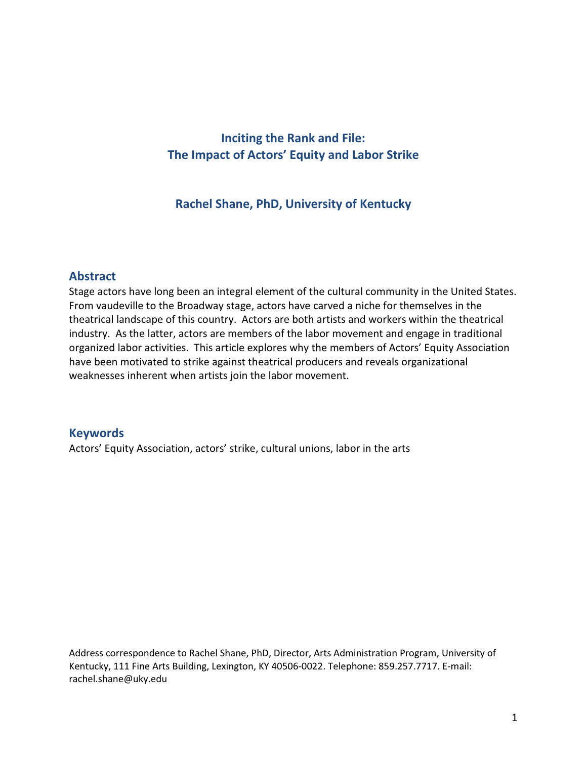# Inciting the Rank and File: The Impact of Actors' Equity and Labor Strike

## Rachel Shane, PhD, University of Kentucky

## Abstract

Stage actors have long been an integral element of the cultural community in the United States. From vaudeville to the Broadway stage, actors have carved a niche for themselves in the theatrical landscape of this country. Actors are both artists and workers within the theatrical industry. As the latter, actors are members of the labor movement and engage in traditional organized labor activities. This article explores why the members of Actors' Equity Association have been motivated to strike against theatrical producers and reveals organizational weaknesses inherent when artists join the labor movement.

## Keywords

Actors' Equity Association, actors' strike, cultural unions, labor in the arts

Address correspondence to Rachel Shane, PhD, Director, Arts Administration Program, University of Kentucky, 111 Fine Arts Building, Lexington, KY 40506-0022. Telephone: 859.257.7717. E-mail: rachel.shane@uky.edu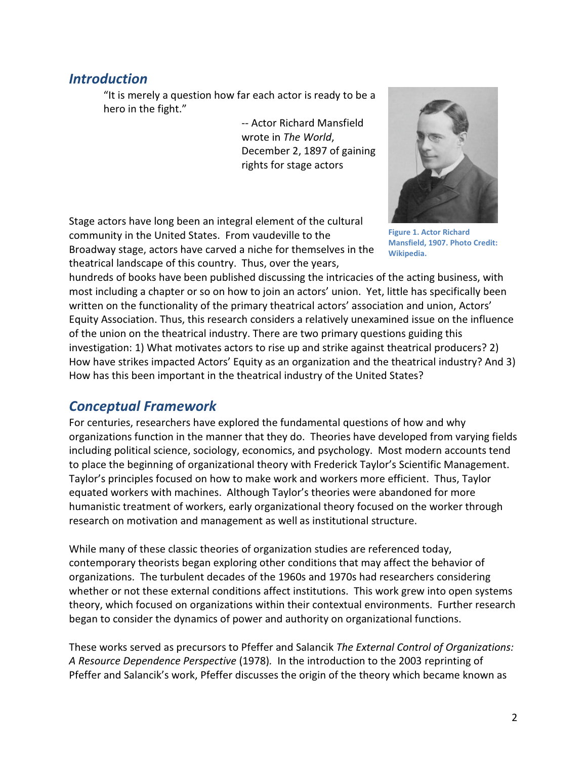# **Introduction**

"It is merely a question how far each actor is ready to be a hero in the fight."

> -- Actor Richard Mansfield wrote in The World, December 2, 1897 of gaining rights for stage actors

Stage actors have long been an integral element of the cultural community in the United States. From vaudeville to the Broadway stage, actors have carved a niche for themselves in the theatrical landscape of this country. Thus, over the years,



Figure 1. Actor Richard Mansfield, 1907. Photo Credit: Wikipedia.

hundreds of books have been published discussing the intricacies of the acting business, with most including a chapter or so on how to join an actors' union. Yet, little has specifically been written on the functionality of the primary theatrical actors' association and union, Actors' Equity Association. Thus, this research considers a relatively unexamined issue on the influence of the union on the theatrical industry. There are two primary questions guiding this investigation: 1) What motivates actors to rise up and strike against theatrical producers? 2) How have strikes impacted Actors' Equity as an organization and the theatrical industry? And 3) How has this been important in the theatrical industry of the United States?

# Conceptual Framework

For centuries, researchers have explored the fundamental questions of how and why organizations function in the manner that they do. Theories have developed from varying fields including political science, sociology, economics, and psychology. Most modern accounts tend to place the beginning of organizational theory with Frederick Taylor's Scientific Management. Taylor's principles focused on how to make work and workers more efficient. Thus, Taylor equated workers with machines. Although Taylor's theories were abandoned for more humanistic treatment of workers, early organizational theory focused on the worker through research on motivation and management as well as institutional structure.

While many of these classic theories of organization studies are referenced today, contemporary theorists began exploring other conditions that may affect the behavior of organizations. The turbulent decades of the 1960s and 1970s had researchers considering whether or not these external conditions affect institutions. This work grew into open systems theory, which focused on organizations within their contextual environments. Further research began to consider the dynamics of power and authority on organizational functions.

These works served as precursors to Pfeffer and Salancik The External Control of Organizations: A Resource Dependence Perspective (1978). In the introduction to the 2003 reprinting of Pfeffer and Salancik's work, Pfeffer discusses the origin of the theory which became known as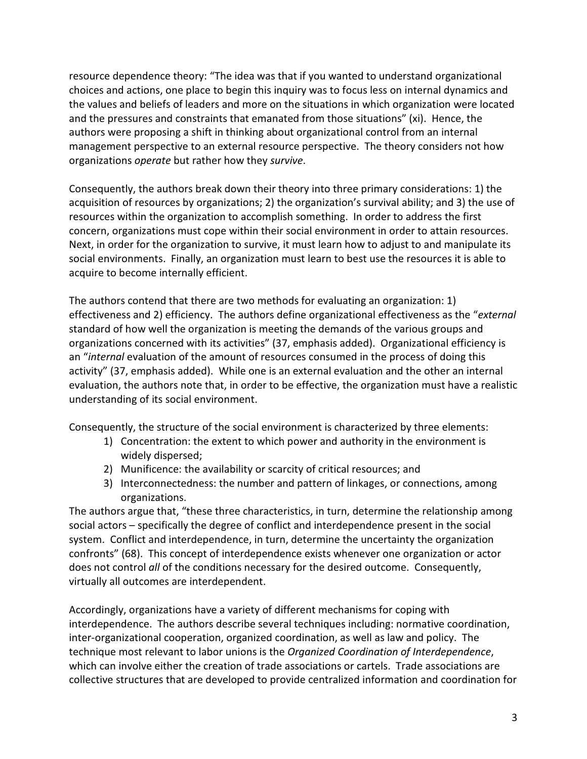resource dependence theory: "The idea was that if you wanted to understand organizational choices and actions, one place to begin this inquiry was to focus less on internal dynamics and the values and beliefs of leaders and more on the situations in which organization were located and the pressures and constraints that emanated from those situations" (xi). Hence, the authors were proposing a shift in thinking about organizational control from an internal management perspective to an external resource perspective. The theory considers not how organizations operate but rather how they survive.

Consequently, the authors break down their theory into three primary considerations: 1) the acquisition of resources by organizations; 2) the organization's survival ability; and 3) the use of resources within the organization to accomplish something. In order to address the first concern, organizations must cope within their social environment in order to attain resources. Next, in order for the organization to survive, it must learn how to adjust to and manipulate its social environments. Finally, an organization must learn to best use the resources it is able to acquire to become internally efficient.

The authors contend that there are two methods for evaluating an organization: 1) effectiveness and 2) efficiency. The authors define organizational effectiveness as the "external standard of how well the organization is meeting the demands of the various groups and organizations concerned with its activities" (37, emphasis added). Organizational efficiency is an "internal evaluation of the amount of resources consumed in the process of doing this activity" (37, emphasis added). While one is an external evaluation and the other an internal evaluation, the authors note that, in order to be effective, the organization must have a realistic understanding of its social environment.

Consequently, the structure of the social environment is characterized by three elements:

- 1) Concentration: the extent to which power and authority in the environment is widely dispersed;
- 2) Munificence: the availability or scarcity of critical resources; and
- 3) Interconnectedness: the number and pattern of linkages, or connections, among organizations.

The authors argue that, "these three characteristics, in turn, determine the relationship among social actors – specifically the degree of conflict and interdependence present in the social system. Conflict and interdependence, in turn, determine the uncertainty the organization confronts" (68). This concept of interdependence exists whenever one organization or actor does not control all of the conditions necessary for the desired outcome. Consequently, virtually all outcomes are interdependent.

Accordingly, organizations have a variety of different mechanisms for coping with interdependence. The authors describe several techniques including: normative coordination, inter-organizational cooperation, organized coordination, as well as law and policy. The technique most relevant to labor unions is the Organized Coordination of Interdependence, which can involve either the creation of trade associations or cartels. Trade associations are collective structures that are developed to provide centralized information and coordination for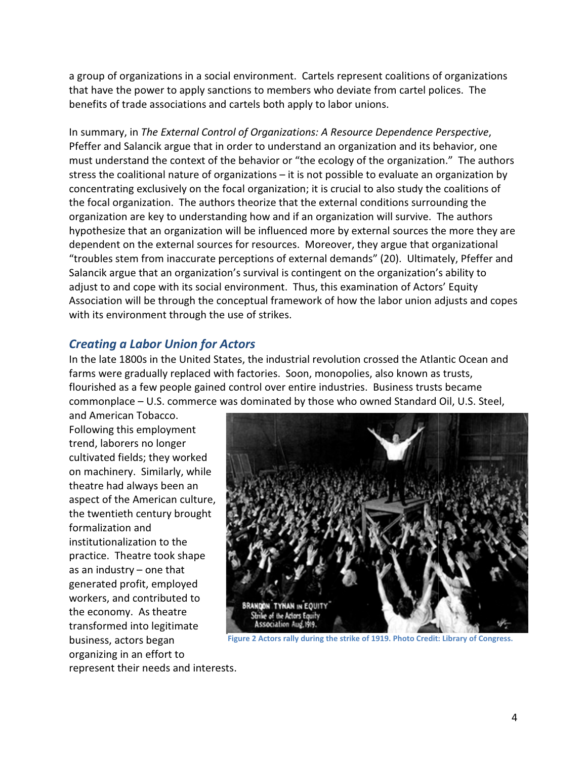a group of organizations in a social environment. Cartels represent Cartels represent coalitions of organizations that have the power to apply sanctions to members who deviate from cartel polices. The<br>benefits of trade associations and cartels both apply to labor unions. benefits of trade associations and cartels both apply to labor unions.

In summary, in The External Control of Organizations: A Resource Dependence Perspective, Pfeffer and Salancik argue that in order to understand an organization and its behavior, one must understand the context of the behavior or "the ecology of the organization." The authors stress the coalitional nature of organizations  $-$  it is not possible to evaluate an organization by concentrating exclusively on the focal organization; it is crucial to also study the coalitions of the focal organization. The authors theorize that the external conditions surrounding the organization are key to understanding how and if an organization will survive. The authors concentrating exclusively on the focal organization; it is crucial to also study the coalitions of<br>the focal organization. The authors theorize that the external conditions surrounding the<br>organization are key to understan dependent on the external sources for resources. Moreover, they argue that organizatio<br>"troubles stem from inaccurate perceptions of external demands" (20). Ultimately, Pfef<br>Salancik argue that an organization's survival i "troubles stem from inaccurate perceptions of external demands" (20). Ultimately, Pfeffer and Salancik argue that an organization's survival is contingent on the organization's ability to adjust to and cope with its social environment. Thus, this examination of Actors' Equity Association will be through the conceptual framework of how the labor union adjusts and copes<br>with its environment through the use of strikes. with its environment through the use of strikes. Pfeffer and Salancik argue that in order to understand an organization and its behavior, one<br>must understand the context of the behavior or "the ecology of the organization." The author<br>stress the coalitional nature of org itional nature of organizations – it is not possible to evaluate an organization b<br>exclusively on the focal organization; it is crucial to also study the coalitions of<br>nization. The authors theorize that the external condi

## Creating a Labor Union for Actors a Labor Union for Actors

In the late 1800s in the United States, the industrial revolution crossed the Atlantic Ocean and farms were gradually replaced with factories. Soon, monopolies, also known as trusts, In the late 1800s in the United States, the industrial revolution crossed the Atlantic Ocean<br>farms were gradually replaced with factories. Soon, monopolies, also known as trusts,<br>flourished as a few people gained control commonplace – U.S. commerce was dominated by those who owned Standard Oil, U.S. Steel,

and American Tobacco. Following this employment trend, laborers no longer cultivated fields; they worked on machinery. Similarly, while theatre had always been an aspect of the American culture, the twentieth century brought formalization and institutionalization to the practice. Theatre took shape as an industry – one that generated profit, employed workers, and contributed to the economy. As theatre transformed into legitimate business, actors began organizing in an effort to



Figure 2 Actors rally during the strike of 1919. Photo Credit: Library of Congress.

represent their needs and interests.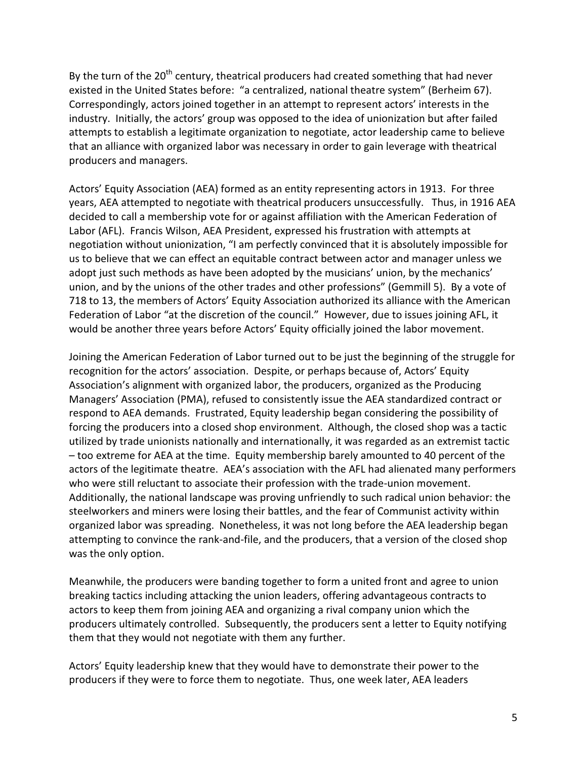By the turn of the 20<sup>th</sup> century, theatrical producers had created something that had never existed in the United States before: "a centralized, national theatre system" (Berheim 67). Correspondingly, actors joined together in an attempt to represent actors' interests in the industry. Initially, the actors' group was opposed to the idea of unionization but after failed attempts to establish a legitimate organization to negotiate, actor leadership came to believe that an alliance with organized labor was necessary in order to gain leverage with theatrical producers and managers.

Actors' Equity Association (AEA) formed as an entity representing actors in 1913. For three years, AEA attempted to negotiate with theatrical producers unsuccessfully. Thus, in 1916 AEA decided to call a membership vote for or against affiliation with the American Federation of Labor (AFL). Francis Wilson, AEA President, expressed his frustration with attempts at negotiation without unionization, "I am perfectly convinced that it is absolutely impossible for us to believe that we can effect an equitable contract between actor and manager unless we adopt just such methods as have been adopted by the musicians' union, by the mechanics' union, and by the unions of the other trades and other professions" (Gemmill 5). By a vote of 718 to 13, the members of Actors' Equity Association authorized its alliance with the American Federation of Labor "at the discretion of the council." However, due to issues joining AFL, it would be another three years before Actors' Equity officially joined the labor movement.

Joining the American Federation of Labor turned out to be just the beginning of the struggle for recognition for the actors' association. Despite, or perhaps because of, Actors' Equity Association's alignment with organized labor, the producers, organized as the Producing Managers' Association (PMA), refused to consistently issue the AEA standardized contract or respond to AEA demands. Frustrated, Equity leadership began considering the possibility of forcing the producers into a closed shop environment. Although, the closed shop was a tactic utilized by trade unionists nationally and internationally, it was regarded as an extremist tactic – too extreme for AEA at the time. Equity membership barely amounted to 40 percent of the actors of the legitimate theatre. AEA's association with the AFL had alienated many performers who were still reluctant to associate their profession with the trade-union movement. Additionally, the national landscape was proving unfriendly to such radical union behavior: the steelworkers and miners were losing their battles, and the fear of Communist activity within organized labor was spreading. Nonetheless, it was not long before the AEA leadership began attempting to convince the rank-and-file, and the producers, that a version of the closed shop was the only option.

Meanwhile, the producers were banding together to form a united front and agree to union breaking tactics including attacking the union leaders, offering advantageous contracts to actors to keep them from joining AEA and organizing a rival company union which the producers ultimately controlled. Subsequently, the producers sent a letter to Equity notifying them that they would not negotiate with them any further.

Actors' Equity leadership knew that they would have to demonstrate their power to the producers if they were to force them to negotiate. Thus, one week later, AEA leaders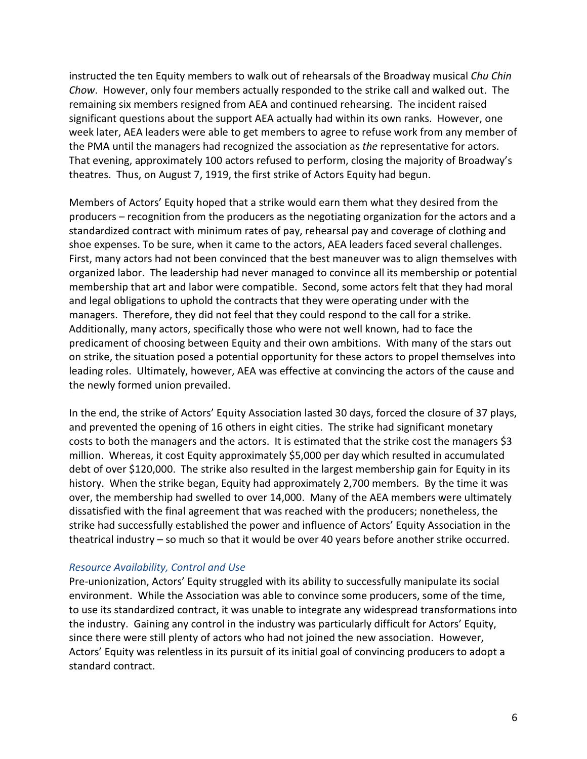instructed the ten Equity members to walk out of rehearsals of the Broadway musical Chu Chin Chow. However, only four members actually responded to the strike call and walked out. The remaining six members resigned from AEA and continued rehearsing. The incident raised significant questions about the support AEA actually had within its own ranks. However, one week later, AEA leaders were able to get members to agree to refuse work from any member of the PMA until the managers had recognized the association as the representative for actors. That evening, approximately 100 actors refused to perform, closing the majority of Broadway's theatres. Thus, on August 7, 1919, the first strike of Actors Equity had begun.

Members of Actors' Equity hoped that a strike would earn them what they desired from the producers – recognition from the producers as the negotiating organization for the actors and a standardized contract with minimum rates of pay, rehearsal pay and coverage of clothing and shoe expenses. To be sure, when it came to the actors, AEA leaders faced several challenges. First, many actors had not been convinced that the best maneuver was to align themselves with organized labor. The leadership had never managed to convince all its membership or potential membership that art and labor were compatible. Second, some actors felt that they had moral and legal obligations to uphold the contracts that they were operating under with the managers. Therefore, they did not feel that they could respond to the call for a strike. Additionally, many actors, specifically those who were not well known, had to face the predicament of choosing between Equity and their own ambitions. With many of the stars out on strike, the situation posed a potential opportunity for these actors to propel themselves into leading roles. Ultimately, however, AEA was effective at convincing the actors of the cause and the newly formed union prevailed.

In the end, the strike of Actors' Equity Association lasted 30 days, forced the closure of 37 plays, and prevented the opening of 16 others in eight cities. The strike had significant monetary costs to both the managers and the actors. It is estimated that the strike cost the managers \$3 million. Whereas, it cost Equity approximately \$5,000 per day which resulted in accumulated debt of over \$120,000. The strike also resulted in the largest membership gain for Equity in its history. When the strike began, Equity had approximately 2,700 members. By the time it was over, the membership had swelled to over 14,000. Many of the AEA members were ultimately dissatisfied with the final agreement that was reached with the producers; nonetheless, the strike had successfully established the power and influence of Actors' Equity Association in the theatrical industry – so much so that it would be over 40 years before another strike occurred.

#### Resource Availability, Control and Use

Pre-unionization, Actors' Equity struggled with its ability to successfully manipulate its social environment. While the Association was able to convince some producers, some of the time, to use its standardized contract, it was unable to integrate any widespread transformations into the industry. Gaining any control in the industry was particularly difficult for Actors' Equity, since there were still plenty of actors who had not joined the new association. However, Actors' Equity was relentless in its pursuit of its initial goal of convincing producers to adopt a standard contract.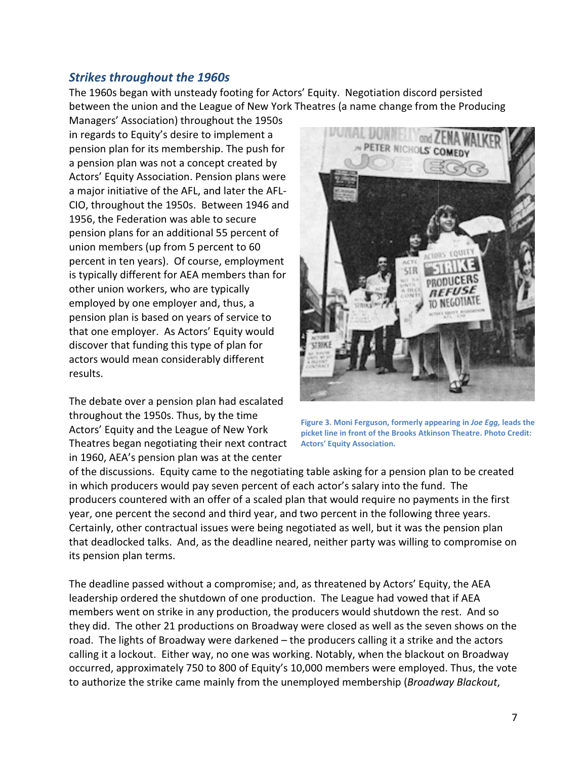## Strikes throughout the 1960s

The 1960s began with unsteady footing for Actors' Equity. Negotiation discord persisted The 1960s began with unsteady footing for Actors' Equity. Negotiation discord persisted<br>between the union and the League of New York Theatres (a name change from the Producing

Managers' Association) throughout the 1950s in regards to Equity's desire to implement a pension plan for its membership. The push for a pension plan was not a concept created by Actors' Equity Association. Pension plans were pension plan for its membership. The push for<br>a pension plan was not a concept created by<br>Actors' Equity Association. Pension plans were<br>a major initiative of the AFL, and later the AFL-CIO, throughout the 1950s. Between 1946 and 1956, the Federation was able to secure pension plans for an additional 55 percent of union members (up from 5 percent to 60 percent in ten years). Of course, employment is typically different for AEA members than for other union workers, who are typically employed by one employer and, thus, a pension plan is based on years of service to that one employer. As Actors' Equity would discover that funding this type of plan for actors would mean considerably different results.

The debate over a pension plan had escalated throughout the 1950s. Thus, by the time Actors' Equity and the League of New York Theatres began negotiating their next contract in 1960, AEA's pension plan was at the center



Figure 3. Moni Ferguson, formerly appearing in Joe Egg, leads the picket line in front of the Brooks Atkinson Theatre. Photo Credit: Actors' Equity Association.

of the discussions. Equity came to the negotiating table asking for a pension plan to be created in which producers would pay seven percent of each actor's salary into the fund. The producers countered with an offer of a scaled plan that would require no payments in the first<br>year, one percent the second and third year, and two percent in the following three years.<br>Certainly, other contractual issues year, one percent the second and third year, and two percent in the following three years. Certainly, other contractual issues were being negotiated as well, but it was the pension plan that deadlocked talks. And, as the deadline neared, neither party was willing to compromise on its pension plan terms. that deadlocked talks. And, as the deadline neared, neither party was willing to compromi:<br>its pension plan terms.<br>The deadline passed without a compromise; and, as threatened by Actors' Equity, the AEA

leadership ordered the shutdown of one production. The League had vowed that if AEA members went on strike in any production, the producers would shutdown the rest. And so members went on strike in any production, the producers would shutdown the rest. And so<br>they did. The other 21 productions on Broadway were closed as well as the seven shows on the road. The lights of Broadway were darkened - the producers calling it a strike and the actors calling it a lockout. Either way, no one was working. Notably, when the blackout on Broadway they did. The other 21 productions on Broadway were closed as well as the seven shows on the road. The lights of Broadway were darkened – the producers calling it a strike and the actors calling it a lockout. Either way, n to authorize the strike came mainly from the unemployed membership (Broadway Blackout,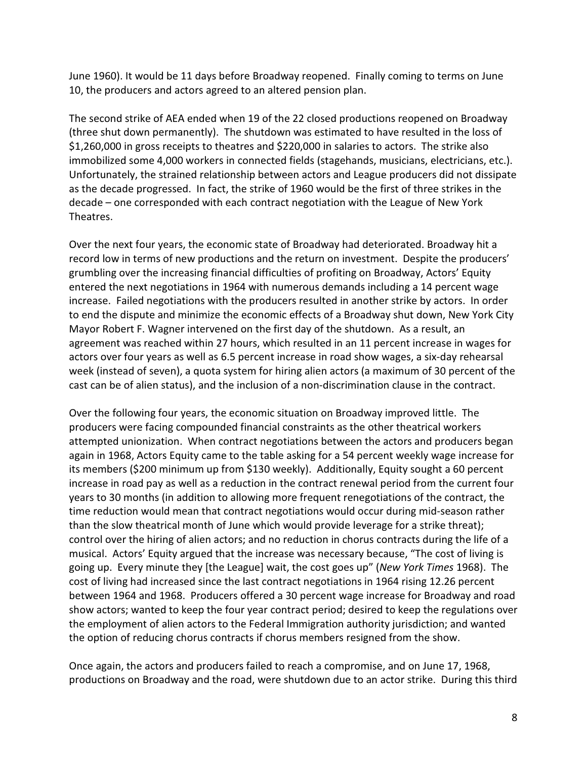June 1960). It would be 11 days before Broadway reopened. Finally coming to terms on June 10, the producers and actors agreed to an altered pension plan.

The second strike of AEA ended when 19 of the 22 closed productions reopened on Broadway (three shut down permanently). The shutdown was estimated to have resulted in the loss of \$1,260,000 in gross receipts to theatres and \$220,000 in salaries to actors. The strike also immobilized some 4,000 workers in connected fields (stagehands, musicians, electricians, etc.). Unfortunately, the strained relationship between actors and League producers did not dissipate as the decade progressed. In fact, the strike of 1960 would be the first of three strikes in the decade – one corresponded with each contract negotiation with the League of New York Theatres.

Over the next four years, the economic state of Broadway had deteriorated. Broadway hit a record low in terms of new productions and the return on investment. Despite the producers' grumbling over the increasing financial difficulties of profiting on Broadway, Actors' Equity entered the next negotiations in 1964 with numerous demands including a 14 percent wage increase. Failed negotiations with the producers resulted in another strike by actors. In order to end the dispute and minimize the economic effects of a Broadway shut down, New York City Mayor Robert F. Wagner intervened on the first day of the shutdown. As a result, an agreement was reached within 27 hours, which resulted in an 11 percent increase in wages for actors over four years as well as 6.5 percent increase in road show wages, a six-day rehearsal week (instead of seven), a quota system for hiring alien actors (a maximum of 30 percent of the cast can be of alien status), and the inclusion of a non-discrimination clause in the contract.

Over the following four years, the economic situation on Broadway improved little. The producers were facing compounded financial constraints as the other theatrical workers attempted unionization. When contract negotiations between the actors and producers began again in 1968, Actors Equity came to the table asking for a 54 percent weekly wage increase for its members (\$200 minimum up from \$130 weekly). Additionally, Equity sought a 60 percent increase in road pay as well as a reduction in the contract renewal period from the current four years to 30 months (in addition to allowing more frequent renegotiations of the contract, the time reduction would mean that contract negotiations would occur during mid-season rather than the slow theatrical month of June which would provide leverage for a strike threat); control over the hiring of alien actors; and no reduction in chorus contracts during the life of a musical. Actors' Equity argued that the increase was necessary because, "The cost of living is going up. Every minute they [the League] wait, the cost goes up" (New York Times 1968). The cost of living had increased since the last contract negotiations in 1964 rising 12.26 percent between 1964 and 1968. Producers offered a 30 percent wage increase for Broadway and road show actors; wanted to keep the four year contract period; desired to keep the regulations over the employment of alien actors to the Federal Immigration authority jurisdiction; and wanted the option of reducing chorus contracts if chorus members resigned from the show.

Once again, the actors and producers failed to reach a compromise, and on June 17, 1968, productions on Broadway and the road, were shutdown due to an actor strike. During this third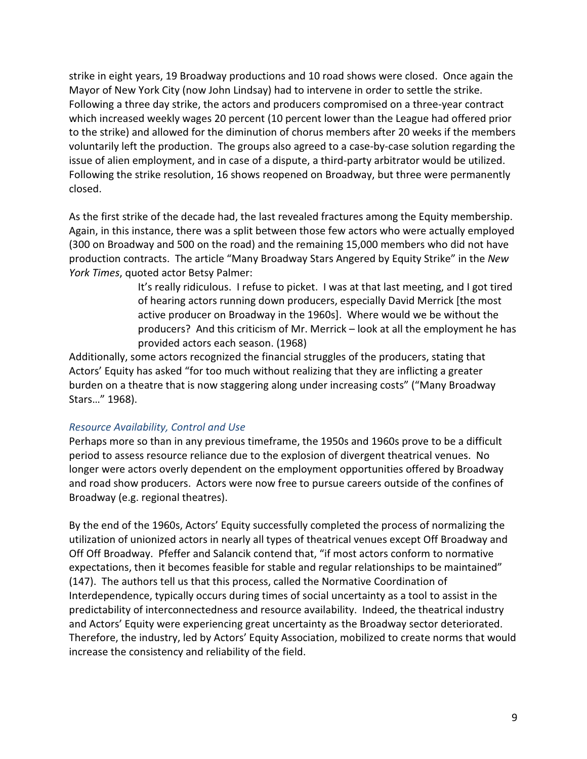strike in eight years, 19 Broadway productions and 10 road shows were closed. Once again the Mayor of New York City (now John Lindsay) had to intervene in order to settle the strike. Following a three day strike, the actors and producers compromised on a three-year contract which increased weekly wages 20 percent (10 percent lower than the League had offered prior to the strike) and allowed for the diminution of chorus members after 20 weeks if the members voluntarily left the production. The groups also agreed to a case-by-case solution regarding the issue of alien employment, and in case of a dispute, a third-party arbitrator would be utilized. Following the strike resolution, 16 shows reopened on Broadway, but three were permanently closed.

As the first strike of the decade had, the last revealed fractures among the Equity membership. Again, in this instance, there was a split between those few actors who were actually employed (300 on Broadway and 500 on the road) and the remaining 15,000 members who did not have production contracts. The article "Many Broadway Stars Angered by Equity Strike" in the New York Times, quoted actor Betsy Palmer:

> It's really ridiculous. I refuse to picket. I was at that last meeting, and I got tired of hearing actors running down producers, especially David Merrick [the most active producer on Broadway in the 1960s]. Where would we be without the producers? And this criticism of Mr. Merrick – look at all the employment he has provided actors each season. (1968)

Additionally, some actors recognized the financial struggles of the producers, stating that Actors' Equity has asked "for too much without realizing that they are inflicting a greater burden on a theatre that is now staggering along under increasing costs" ("Many Broadway Stars…" 1968).

#### Resource Availability, Control and Use

Perhaps more so than in any previous timeframe, the 1950s and 1960s prove to be a difficult period to assess resource reliance due to the explosion of divergent theatrical venues. No longer were actors overly dependent on the employment opportunities offered by Broadway and road show producers. Actors were now free to pursue careers outside of the confines of Broadway (e.g. regional theatres).

By the end of the 1960s, Actors' Equity successfully completed the process of normalizing the utilization of unionized actors in nearly all types of theatrical venues except Off Broadway and Off Off Broadway. Pfeffer and Salancik contend that, "if most actors conform to normative expectations, then it becomes feasible for stable and regular relationships to be maintained" (147). The authors tell us that this process, called the Normative Coordination of Interdependence, typically occurs during times of social uncertainty as a tool to assist in the predictability of interconnectedness and resource availability. Indeed, the theatrical industry and Actors' Equity were experiencing great uncertainty as the Broadway sector deteriorated. Therefore, the industry, led by Actors' Equity Association, mobilized to create norms that would increase the consistency and reliability of the field.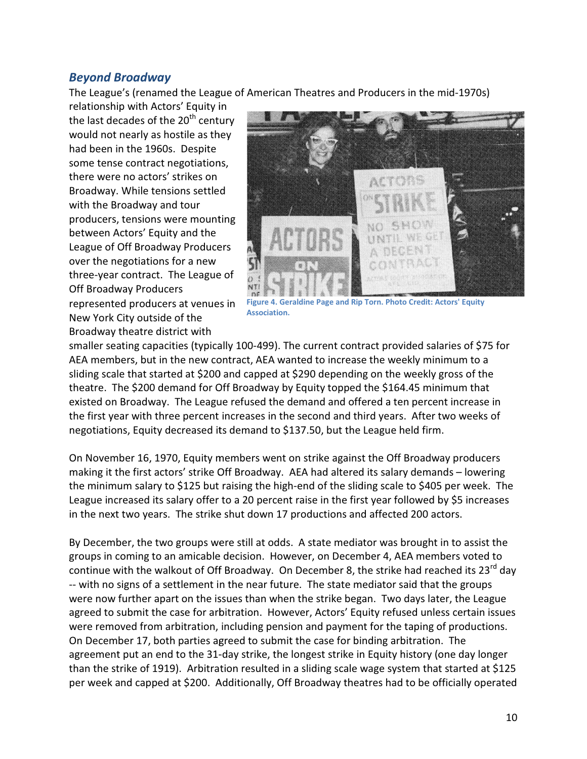## Beyond Broadway

The League's (renamed the League of American Theatres and Producers in the mid-1970s)

relationship with Actors' Equity in the last decades of the  $20<sup>th</sup>$  century would not nearly as hostile as they had been in the 1960s. Despite some tense contract negotiations, there were no actors' strikes on Broadway. While tensions settled with the Broadway and tour producers, tensions were mounting between Actors' Equity and the League of Off Broadway Producers over the negotiations for a new League of Off Broadway Producers<br>over the negotiations for a new<br>three-year contract. The League of Off Broadway Producers represented producers at venues in New York City outside of the Broadway theatre district with The League's (renamed the League of American Theatres and Producers in<br>relationship with Actors' Equity in<br>the last decades of the 20<sup>th</sup> century<br>would not nearly as hostile as they<br>had been in the 1960s. Despite<br>some tens



Association. Figure 4. Geraldine Page and Rip Torn. Photo Credit: Actors' Equity

smaller seating capacities (typically 100-499). The current contract provided salaries of \$75 for AEA members, but in the new contract, AEA wanted to increase the weekly minimum to a sliding scale that started at \$200 and capped at \$290 depending on the weekly gross of the theatre. The \$200 demand for Off Broadway by Equity topped the \$164.45 minimum that existed on Broadway. The League refused the demand and offered a ten percent increase in the first year with three percent increases in the second and third years. After two weeks of negotiations, Equity decreased its demand to \$137.50, but the League held firm. The current contract provided salaries of \$75 for<br>vanted to increase the weekly minimum to a<br>at \$290 depending on the weekly gross of the<br>by Equity topped the \$164.45 minimum that<br>elemand and offered a ten percent increase

On November 16, 1970, Equity members went on strike against the Off Broadway producers<br>making it the first actors' strike Off Broadway. AEA had altered its salary demands – lowering making it the first actors' strike Off Broadway. AEA had altered its salary demands – lowering the minimum salary to \$125 but raising the high-end of the sliding scale to \$405 per week. The League increased its salary offer to a 20 percent raise in the first year followed by \$5 increases<br>in the next two years. The strike shut down 17 productions and affected 200 actors. in the next two years. The strike shut down 17 produc tions and affected 200

By December, the two groups were still at odds. A state mediator was brought in to assist the groups in coming to an amicable decision. However, on December 4, AEA members voted to continue with the walkout of Off Broadway groups in coming to an amicable decision. However, on December 4, AEA members voted to continue with the walkout of Off Broadway. On December 8, the strike had reached its 23<sup>rd</sup> day -- with no signs of a settlement in the near future. The state mediator said that the groups were now further apart on the issues than when the strike began. Two days later, the League agreed to submit the case for arbitration. However, Actors' Equity refused unless certain issues were removed from arbitration, including pension and payment for the taping of productions. On December 17, both parties agreed to submit the case for binding arbitration. The agreement put an end to the 31-day strike, the longest strike in Equity history (one day longer than the strike of 1919). Arbitration resulted in a sliding scale wage system that started at \$125 per week and capped at \$200. Additionally, Off Broadway theatres had to be officially operated Figure 4. Geraldine Page and Rip Torn. Photo Credit: Actors' Equity<br>
the<br>
with<br>
with<br>
with<br>
with<br>
with<br>
with<br>
with<br>
the sign and capped at 5290 depending on the weekly minimum to a<br>
to figure and Arbitratic to increase the sues than when the strike began. Two days later, the League<br>pitration. However, Actors' Equity refused unless certain issue<br>including pension and payment for the taping of productions.<br>greed to submit the case for binding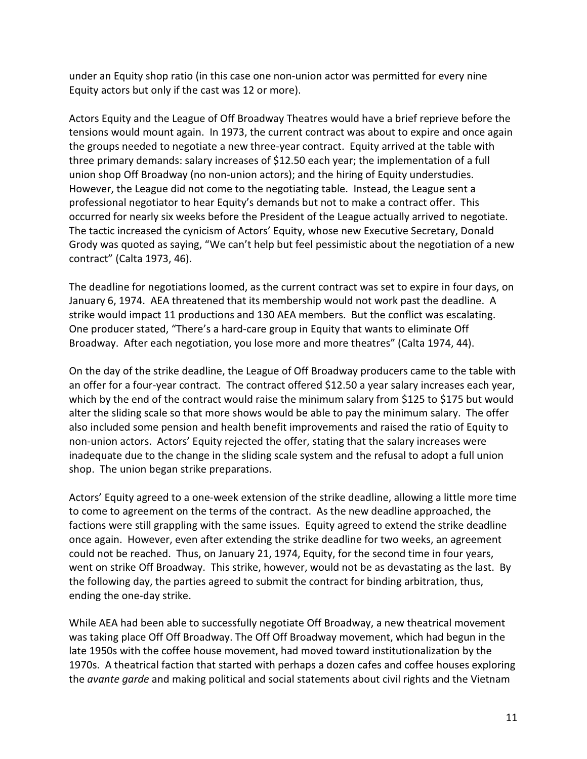under an Equity shop ratio (in this case one non-union actor was permitted for every nine Equity actors but only if the cast was 12 or more).

Actors Equity and the League of Off Broadway Theatres would have a brief reprieve before the tensions would mount again. In 1973, the current contract was about to expire and once again the groups needed to negotiate a new three-year contract. Equity arrived at the table with three primary demands: salary increases of \$12.50 each year; the implementation of a full union shop Off Broadway (no non-union actors); and the hiring of Equity understudies. However, the League did not come to the negotiating table. Instead, the League sent a professional negotiator to hear Equity's demands but not to make a contract offer. This occurred for nearly six weeks before the President of the League actually arrived to negotiate. The tactic increased the cynicism of Actors' Equity, whose new Executive Secretary, Donald Grody was quoted as saying, "We can't help but feel pessimistic about the negotiation of a new contract" (Calta 1973, 46).

The deadline for negotiations loomed, as the current contract was set to expire in four days, on January 6, 1974. AEA threatened that its membership would not work past the deadline. A strike would impact 11 productions and 130 AEA members. But the conflict was escalating. One producer stated, "There's a hard-care group in Equity that wants to eliminate Off Broadway. After each negotiation, you lose more and more theatres" (Calta 1974, 44).

On the day of the strike deadline, the League of Off Broadway producers came to the table with an offer for a four-year contract. The contract offered \$12.50 a year salary increases each year, which by the end of the contract would raise the minimum salary from \$125 to \$175 but would alter the sliding scale so that more shows would be able to pay the minimum salary. The offer also included some pension and health benefit improvements and raised the ratio of Equity to non-union actors. Actors' Equity rejected the offer, stating that the salary increases were inadequate due to the change in the sliding scale system and the refusal to adopt a full union shop. The union began strike preparations.

Actors' Equity agreed to a one-week extension of the strike deadline, allowing a little more time to come to agreement on the terms of the contract. As the new deadline approached, the factions were still grappling with the same issues. Equity agreed to extend the strike deadline once again. However, even after extending the strike deadline for two weeks, an agreement could not be reached. Thus, on January 21, 1974, Equity, for the second time in four years, went on strike Off Broadway. This strike, however, would not be as devastating as the last. By the following day, the parties agreed to submit the contract for binding arbitration, thus, ending the one-day strike.

While AEA had been able to successfully negotiate Off Broadway, a new theatrical movement was taking place Off Off Broadway. The Off Off Broadway movement, which had begun in the late 1950s with the coffee house movement, had moved toward institutionalization by the 1970s. A theatrical faction that started with perhaps a dozen cafes and coffee houses exploring the *avante garde* and making political and social statements about civil rights and the Vietnam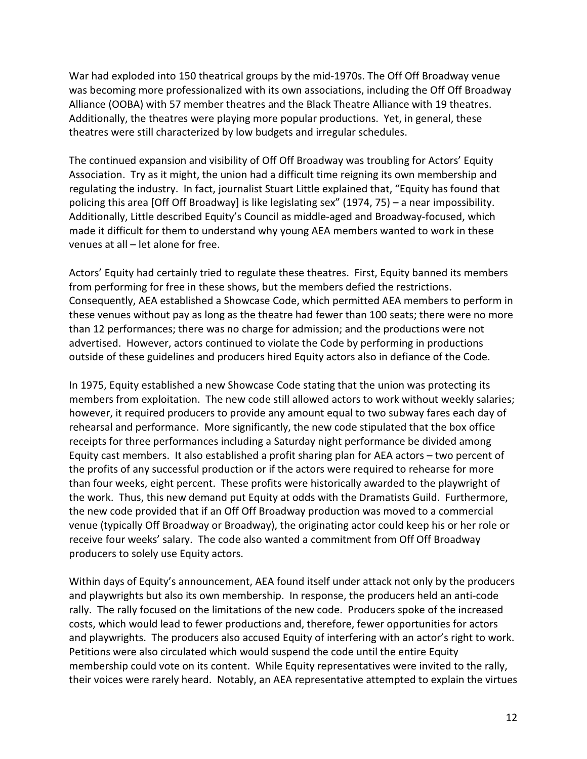War had exploded into 150 theatrical groups by the mid-1970s. The Off Off Broadway venue was becoming more professionalized with its own associations, including the Off Off Broadway Alliance (OOBA) with 57 member theatres and the Black Theatre Alliance with 19 theatres. Additionally, the theatres were playing more popular productions. Yet, in general, these theatres were still characterized by low budgets and irregular schedules.

The continued expansion and visibility of Off Off Broadway was troubling for Actors' Equity Association. Try as it might, the union had a difficult time reigning its own membership and regulating the industry. In fact, journalist Stuart Little explained that, "Equity has found that policing this area [Off Off Broadway] is like legislating sex" (1974, 75) – a near impossibility. Additionally, Little described Equity's Council as middle-aged and Broadway-focused, which made it difficult for them to understand why young AEA members wanted to work in these venues at all – let alone for free.

Actors' Equity had certainly tried to regulate these theatres. First, Equity banned its members from performing for free in these shows, but the members defied the restrictions. Consequently, AEA established a Showcase Code, which permitted AEA members to perform in these venues without pay as long as the theatre had fewer than 100 seats; there were no more than 12 performances; there was no charge for admission; and the productions were not advertised. However, actors continued to violate the Code by performing in productions outside of these guidelines and producers hired Equity actors also in defiance of the Code.

In 1975, Equity established a new Showcase Code stating that the union was protecting its members from exploitation. The new code still allowed actors to work without weekly salaries; however, it required producers to provide any amount equal to two subway fares each day of rehearsal and performance. More significantly, the new code stipulated that the box office receipts for three performances including a Saturday night performance be divided among Equity cast members. It also established a profit sharing plan for AEA actors – two percent of the profits of any successful production or if the actors were required to rehearse for more than four weeks, eight percent. These profits were historically awarded to the playwright of the work. Thus, this new demand put Equity at odds with the Dramatists Guild. Furthermore, the new code provided that if an Off Off Broadway production was moved to a commercial venue (typically Off Broadway or Broadway), the originating actor could keep his or her role or receive four weeks' salary. The code also wanted a commitment from Off Off Broadway producers to solely use Equity actors.

Within days of Equity's announcement, AEA found itself under attack not only by the producers and playwrights but also its own membership. In response, the producers held an anti-code rally. The rally focused on the limitations of the new code. Producers spoke of the increased costs, which would lead to fewer productions and, therefore, fewer opportunities for actors and playwrights. The producers also accused Equity of interfering with an actor's right to work. Petitions were also circulated which would suspend the code until the entire Equity membership could vote on its content. While Equity representatives were invited to the rally, their voices were rarely heard. Notably, an AEA representative attempted to explain the virtues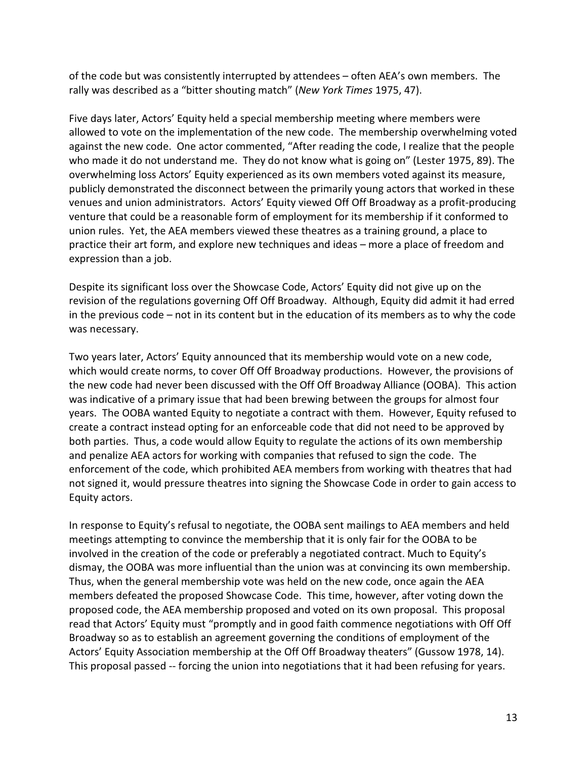of the code but was consistently interrupted by attendees – often AEA's own members. The rally was described as a "bitter shouting match" (New York Times 1975, 47).

Five days later, Actors' Equity held a special membership meeting where members were allowed to vote on the implementation of the new code. The membership overwhelming voted against the new code. One actor commented, "After reading the code, I realize that the people who made it do not understand me. They do not know what is going on" (Lester 1975, 89). The overwhelming loss Actors' Equity experienced as its own members voted against its measure, publicly demonstrated the disconnect between the primarily young actors that worked in these venues and union administrators. Actors' Equity viewed Off Off Broadway as a profit-producing venture that could be a reasonable form of employment for its membership if it conformed to union rules. Yet, the AEA members viewed these theatres as a training ground, a place to practice their art form, and explore new techniques and ideas – more a place of freedom and expression than a job.

Despite its significant loss over the Showcase Code, Actors' Equity did not give up on the revision of the regulations governing Off Off Broadway. Although, Equity did admit it had erred in the previous code – not in its content but in the education of its members as to why the code was necessary.

Two years later, Actors' Equity announced that its membership would vote on a new code, which would create norms, to cover Off Off Broadway productions. However, the provisions of the new code had never been discussed with the Off Off Broadway Alliance (OOBA). This action was indicative of a primary issue that had been brewing between the groups for almost four years. The OOBA wanted Equity to negotiate a contract with them. However, Equity refused to create a contract instead opting for an enforceable code that did not need to be approved by both parties. Thus, a code would allow Equity to regulate the actions of its own membership and penalize AEA actors for working with companies that refused to sign the code. The enforcement of the code, which prohibited AEA members from working with theatres that had not signed it, would pressure theatres into signing the Showcase Code in order to gain access to Equity actors.

In response to Equity's refusal to negotiate, the OOBA sent mailings to AEA members and held meetings attempting to convince the membership that it is only fair for the OOBA to be involved in the creation of the code or preferably a negotiated contract. Much to Equity's dismay, the OOBA was more influential than the union was at convincing its own membership. Thus, when the general membership vote was held on the new code, once again the AEA members defeated the proposed Showcase Code. This time, however, after voting down the proposed code, the AEA membership proposed and voted on its own proposal. This proposal read that Actors' Equity must "promptly and in good faith commence negotiations with Off Off Broadway so as to establish an agreement governing the conditions of employment of the Actors' Equity Association membership at the Off Off Broadway theaters" (Gussow 1978, 14). This proposal passed -- forcing the union into negotiations that it had been refusing for years.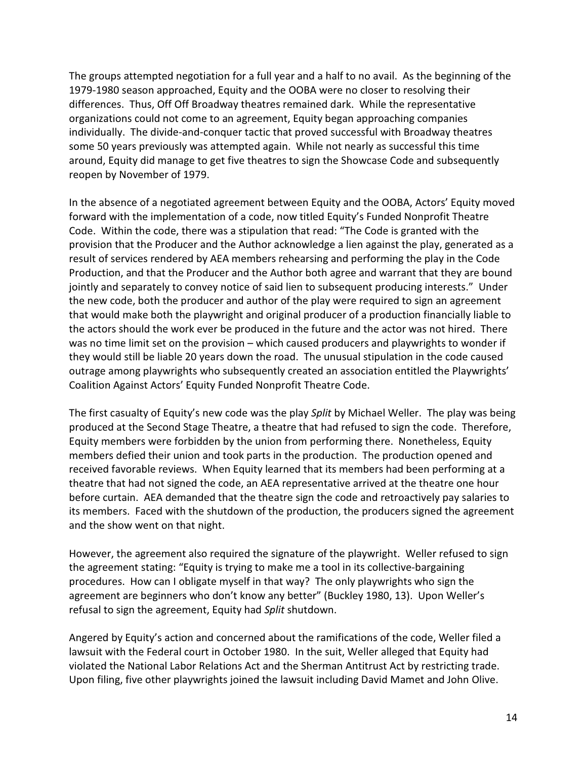The groups attempted negotiation for a full year and a half to no avail. As the beginning of the 1979-1980 season approached, Equity and the OOBA were no closer to resolving their differences. Thus, Off Off Broadway theatres remained dark. While the representative organizations could not come to an agreement, Equity began approaching companies individually. The divide-and-conquer tactic that proved successful with Broadway theatres some 50 years previously was attempted again. While not nearly as successful this time around, Equity did manage to get five theatres to sign the Showcase Code and subsequently reopen by November of 1979.

In the absence of a negotiated agreement between Equity and the OOBA, Actors' Equity moved forward with the implementation of a code, now titled Equity's Funded Nonprofit Theatre Code. Within the code, there was a stipulation that read: "The Code is granted with the provision that the Producer and the Author acknowledge a lien against the play, generated as a result of services rendered by AEA members rehearsing and performing the play in the Code Production, and that the Producer and the Author both agree and warrant that they are bound jointly and separately to convey notice of said lien to subsequent producing interests." Under the new code, both the producer and author of the play were required to sign an agreement that would make both the playwright and original producer of a production financially liable to the actors should the work ever be produced in the future and the actor was not hired. There was no time limit set on the provision – which caused producers and playwrights to wonder if they would still be liable 20 years down the road. The unusual stipulation in the code caused outrage among playwrights who subsequently created an association entitled the Playwrights' Coalition Against Actors' Equity Funded Nonprofit Theatre Code.

The first casualty of Equity's new code was the play Split by Michael Weller. The play was being produced at the Second Stage Theatre, a theatre that had refused to sign the code. Therefore, Equity members were forbidden by the union from performing there. Nonetheless, Equity members defied their union and took parts in the production. The production opened and received favorable reviews. When Equity learned that its members had been performing at a theatre that had not signed the code, an AEA representative arrived at the theatre one hour before curtain. AEA demanded that the theatre sign the code and retroactively pay salaries to its members. Faced with the shutdown of the production, the producers signed the agreement and the show went on that night.

However, the agreement also required the signature of the playwright. Weller refused to sign the agreement stating: "Equity is trying to make me a tool in its collective-bargaining procedures. How can I obligate myself in that way? The only playwrights who sign the agreement are beginners who don't know any better" (Buckley 1980, 13). Upon Weller's refusal to sign the agreement, Equity had Split shutdown.

Angered by Equity's action and concerned about the ramifications of the code, Weller filed a lawsuit with the Federal court in October 1980. In the suit, Weller alleged that Equity had violated the National Labor Relations Act and the Sherman Antitrust Act by restricting trade. Upon filing, five other playwrights joined the lawsuit including David Mamet and John Olive.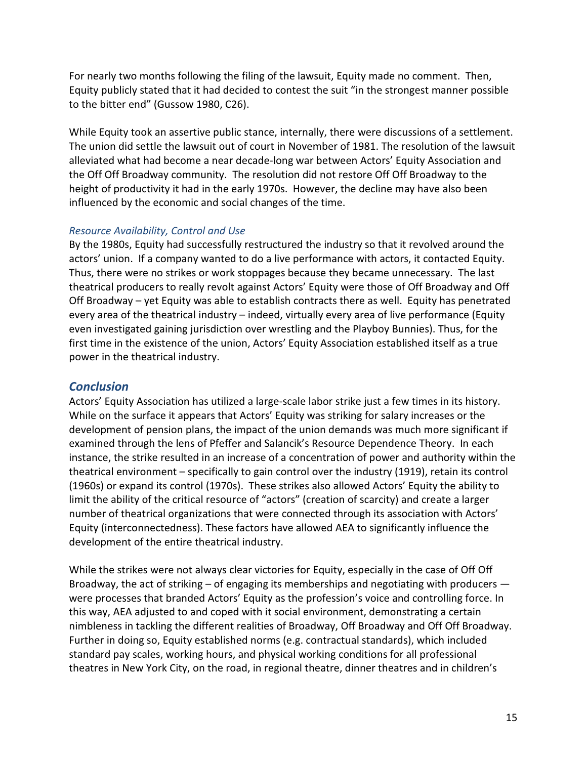For nearly two months following the filing of the lawsuit, Equity made no comment. Then, Equity publicly stated that it had decided to contest the suit "in the strongest manner possible to the bitter end" (Gussow 1980, C26).

While Equity took an assertive public stance, internally, there were discussions of a settlement. The union did settle the lawsuit out of court in November of 1981. The resolution of the lawsuit alleviated what had become a near decade-long war between Actors' Equity Association and the Off Off Broadway community. The resolution did not restore Off Off Broadway to the height of productivity it had in the early 1970s. However, the decline may have also been influenced by the economic and social changes of the time.

## Resource Availability, Control and Use

By the 1980s, Equity had successfully restructured the industry so that it revolved around the actors' union. If a company wanted to do a live performance with actors, it contacted Equity. Thus, there were no strikes or work stoppages because they became unnecessary. The last theatrical producers to really revolt against Actors' Equity were those of Off Broadway and Off Off Broadway – yet Equity was able to establish contracts there as well. Equity has penetrated every area of the theatrical industry – indeed, virtually every area of live performance (Equity even investigated gaining jurisdiction over wrestling and the Playboy Bunnies). Thus, for the first time in the existence of the union, Actors' Equity Association established itself as a true power in the theatrical industry.

## **Conclusion**

Actors' Equity Association has utilized a large-scale labor strike just a few times in its history. While on the surface it appears that Actors' Equity was striking for salary increases or the development of pension plans, the impact of the union demands was much more significant if examined through the lens of Pfeffer and Salancik's Resource Dependence Theory. In each instance, the strike resulted in an increase of a concentration of power and authority within the theatrical environment – specifically to gain control over the industry (1919), retain its control (1960s) or expand its control (1970s). These strikes also allowed Actors' Equity the ability to limit the ability of the critical resource of "actors" (creation of scarcity) and create a larger number of theatrical organizations that were connected through its association with Actors' Equity (interconnectedness). These factors have allowed AEA to significantly influence the development of the entire theatrical industry.

While the strikes were not always clear victories for Equity, especially in the case of Off Off Broadway, the act of striking – of engaging its memberships and negotiating with producers were processes that branded Actors' Equity as the profession's voice and controlling force. In this way, AEA adjusted to and coped with it social environment, demonstrating a certain nimbleness in tackling the different realities of Broadway, Off Broadway and Off Off Broadway. Further in doing so, Equity established norms (e.g. contractual standards), which included standard pay scales, working hours, and physical working conditions for all professional theatres in New York City, on the road, in regional theatre, dinner theatres and in children's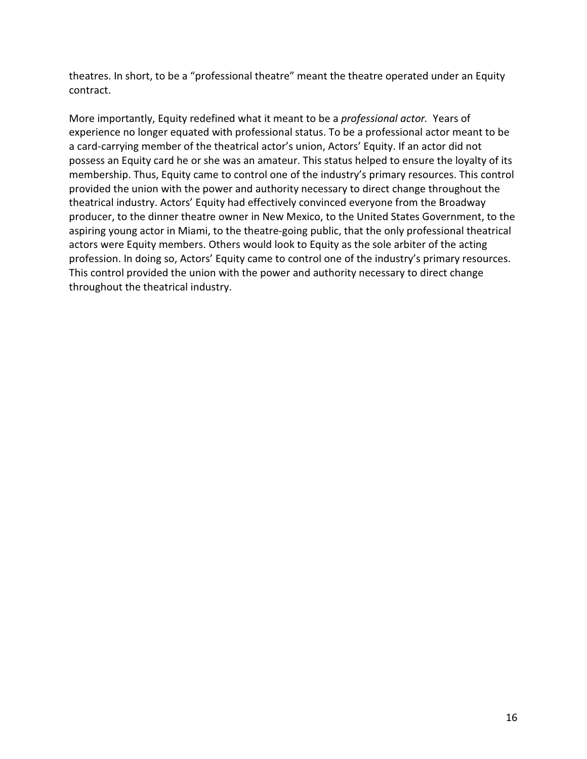theatres. In short, to be a "professional theatre" meant the theatre operated under an Equity contract.

More importantly, Equity redefined what it meant to be a professional actor. Years of experience no longer equated with professional status. To be a professional actor meant to be a card-carrying member of the theatrical actor's union, Actors' Equity. If an actor did not possess an Equity card he or she was an amateur. This status helped to ensure the loyalty of its membership. Thus, Equity came to control one of the industry's primary resources. This control provided the union with the power and authority necessary to direct change throughout the theatrical industry. Actors' Equity had effectively convinced everyone from the Broadway producer, to the dinner theatre owner in New Mexico, to the United States Government, to the aspiring young actor in Miami, to the theatre-going public, that the only professional theatrical actors were Equity members. Others would look to Equity as the sole arbiter of the acting profession. In doing so, Actors' Equity came to control one of the industry's primary resources. This control provided the union with the power and authority necessary to direct change throughout the theatrical industry.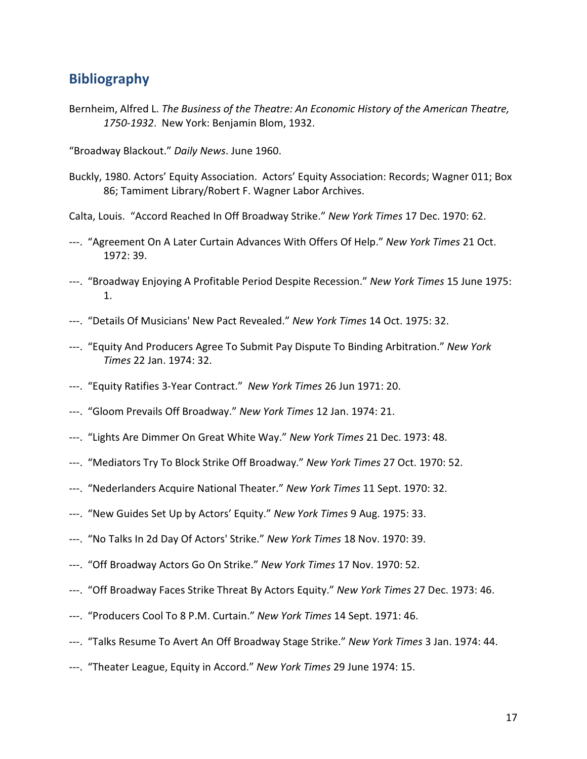# Bibliography

Bernheim, Alfred L. The Business of the Theatre: An Economic History of the American Theatre, 1750-1932. New York: Benjamin Blom, 1932.

"Broadway Blackout." Daily News. June 1960.

Buckly, 1980. Actors' Equity Association. Actors' Equity Association: Records; Wagner 011; Box 86; Tamiment Library/Robert F. Wagner Labor Archives.

Calta, Louis. "Accord Reached In Off Broadway Strike." New York Times 17 Dec. 1970: 62.

- ---. "Agreement On A Later Curtain Advances With Offers Of Help." New York Times 21 Oct. 1972: 39.
- ---. "Broadway Enjoying A Profitable Period Despite Recession." New York Times 15 June 1975: 1.
- ---. "Details Of Musicians' New Pact Revealed." New York Times 14 Oct. 1975: 32.
- ---. "Equity And Producers Agree To Submit Pay Dispute To Binding Arbitration." New York Times 22 Jan. 1974: 32.
- ---. "Equity Ratifies 3-Year Contract." New York Times 26 Jun 1971: 20.
- ---. "Gloom Prevails Off Broadway." New York Times 12 Jan. 1974: 21.
- ---. "Lights Are Dimmer On Great White Way." New York Times 21 Dec. 1973: 48.
- ---. "Mediators Try To Block Strike Off Broadway." New York Times 27 Oct. 1970: 52.
- ---. "Nederlanders Acquire National Theater." New York Times 11 Sept. 1970: 32.
- ---. "New Guides Set Up by Actors' Equity." New York Times 9 Aug. 1975: 33.
- ---. "No Talks In 2d Day Of Actors' Strike." New York Times 18 Nov. 1970: 39.
- ---. "Off Broadway Actors Go On Strike." New York Times 17 Nov. 1970: 52.
- ---. "Off Broadway Faces Strike Threat By Actors Equity." New York Times 27 Dec. 1973: 46.
- ---. "Producers Cool To 8 P.M. Curtain." New York Times 14 Sept. 1971: 46.
- ---. "Talks Resume To Avert An Off Broadway Stage Strike." New York Times 3 Jan. 1974: 44.
- ---. "Theater League, Equity in Accord." New York Times 29 June 1974: 15.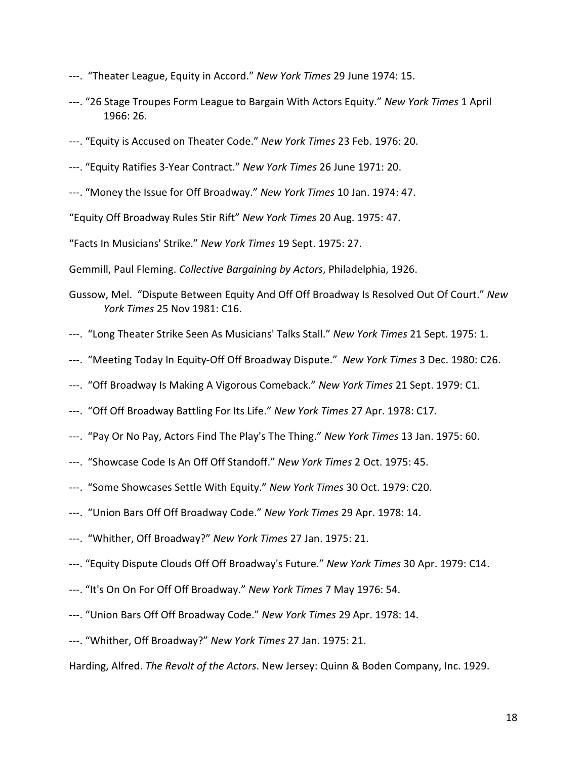- ---. "Theater League, Equity in Accord." New York Times 29 June 1974: 15.
- ---. "26 Stage Troupes Form League to Bargain With Actors Equity." New York Times 1 April 1966: 26.
- ---. "Equity is Accused on Theater Code." New York Times 23 Feb. 1976: 20.
- ---. "Equity Ratifies 3-Year Contract." New York Times 26 June 1971: 20.
- ---. "Money the Issue for Off Broadway." New York Times 10 Jan. 1974: 47.
- "Equity Off Broadway Rules Stir Rift" New York Times 20 Aug. 1975: 47.

"Facts In Musicians' Strike." New York Times 19 Sept. 1975: 27.

Gemmill, Paul Fleming. Collective Bargaining by Actors, Philadelphia, 1926.

- Gussow, Mel. "Dispute Between Equity And Off Off Broadway Is Resolved Out Of Court." New York Times 25 Nov 1981: C16.
- ---. "Long Theater Strike Seen As Musicians' Talks Stall." New York Times 21 Sept. 1975: 1.
- ---. "Meeting Today In Equity-Off Off Broadway Dispute." New York Times 3 Dec. 1980: C26.
- ---. "Off Broadway Is Making A Vigorous Comeback." New York Times 21 Sept. 1979: C1.
- ---. "Off Off Broadway Battling For Its Life." New York Times 27 Apr. 1978: C17.
- ---. "Pay Or No Pay, Actors Find The Play's The Thing." New York Times 13 Jan. 1975: 60.
- ---. "Showcase Code Is An Off Off Standoff." New York Times 2 Oct. 1975: 45.
- ---. "Some Showcases Settle With Equity." New York Times 30 Oct. 1979: C20.
- ---. "Union Bars Off Off Broadway Code." New York Times 29 Apr. 1978: 14.
- ---. "Whither, Off Broadway?" New York Times 27 Jan. 1975: 21.
- ---. "Equity Dispute Clouds Off Off Broadway's Future." New York Times 30 Apr. 1979: C14.
- ---. "It's On On For Off Off Broadway." New York Times 7 May 1976: 54.
- ---. "Union Bars Off Off Broadway Code." New York Times 29 Apr. 1978: 14.
- ---. "Whither, Off Broadway?" New York Times 27 Jan. 1975: 21.

Harding, Alfred. The Revolt of the Actors. New Jersey: Quinn & Boden Company, Inc. 1929.